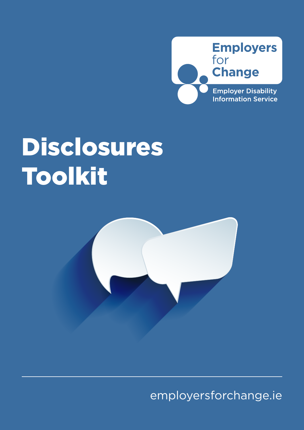

## Disclosures Toolkit



[employersforchange.ie](https://www.employersforchange.ie/index)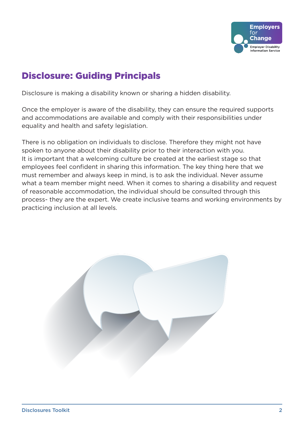

## Disclosure: Guiding Principals

Disclosure is making a disability known or sharing a hidden disability.

Once the employer is aware of the disability, they can ensure the required supports and accommodations are available and comply with their responsibilities under equality and health and safety legislation.

There is no obligation on individuals to disclose. Therefore they might not have spoken to anyone about their disability prior to their interaction with you. It is important that a welcoming culture be created at the earliest stage so that employees feel confident in sharing this information. The key thing here that we must remember and always keep in mind, is to ask the individual. Never assume what a team member might need. When it comes to sharing a disability and request of reasonable accommodation, the individual should be consulted through this process- they are the expert. We create inclusive teams and working environments by practicing inclusion at all levels.

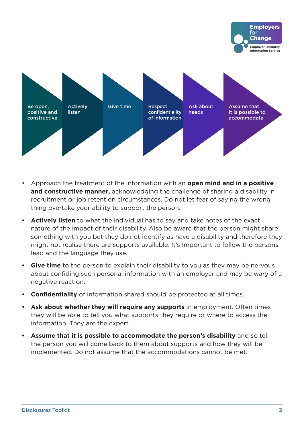



- Approach the treatment of the information with an **open mind and in a positive and constructive manner,** acknowledging the challenge of sharing a disability in recruitment or job retention circumstances. Do not let fear of saying the wrong thing overtake your ability to support the person.
- **• Actively listen** to what the individual has to say and take notes of the exact nature of the impact of their disability. Also be aware that the person might share something with you but they do not identify as have a disability and therefore they might not realise there are supports available. It's Important to follow the persons lead and the language they use.
- **• Give time** to the person to explain their disability to you as they may be nervous about confiding such personal information with an employer and may be wary of a negative reaction.
- **• Confidentiality** of information shared should be protected at all times.
- **• Ask about whether they will require any supports** in employment. Often times they will be able to tell you what supports they require or where to access the information. They are the expert.
- **• Assume that it is possible to accommodate the person's disability** and so tell the person you will come back to them about supports and how they will be implemented. Do not assume that the accommodations cannot be met.